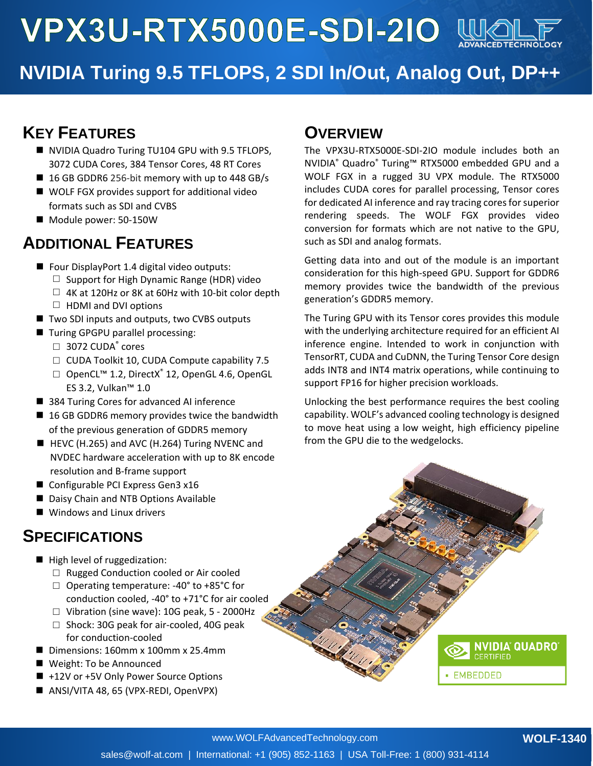**VPX3U-RTX5000E-SDI-2IO WK** 



# **NVIDIA Turing 9.5 TFLOPS, 2 SDI In/Out, Analog Out, DP++**

### **KEY FEATURES**

- NVIDIA Quadro Turing TU104 GPU with 9.5 TFLOPS, 3072 CUDA Cores, 384 Tensor Cores, 48 RT Cores
- $\blacksquare$  16 GB GDDR6 256-bit memory with up to 448 GB/s
- WOLF FGX provides support for additional video formats such as SDI and CVBS
- Module power: 50-150W

### **ADDITIONAL FEATURES**

- Four DisplayPort 1.4 digital video outputs:
	- $\Box$  Support for High Dynamic Range (HDR) video
	- $\Box$  4K at 120Hz or 8K at 60Hz with 10-bit color depth  $\Box$  HDMI and DVI options
- Two SDI inputs and outputs, two CVBS outputs
- 
- Turing GPGPU parallel processing:  $\Box$  3072 CUDA $\degree$  cores
	- □ CUDA Toolkit 10, CUDA Compute capability 7.5
	- □ OpenCL<sup>™</sup> 1.2, DirectX<sup>®</sup> 12, OpenGL 4.6, OpenGL ES 3.2, Vulkan™ 1.0
- 384 Turing Cores for advanced AI inference
- 16 GB GDDR6 memory provides twice the bandwidth of the previous generation of GDDR5 memory
- HEVC (H.265) and AVC (H.264) Turing NVENC and NVDEC hardware acceleration with up to 8K encode resolution and B-frame support
- Configurable PCI Express Gen3 x16
- Daisy Chain and NTB Options Available
- Windows and Linux drivers

### **SPECIFICATIONS**

- High level of ruggedization:
	- □ Rugged Conduction cooled or Air cooled
	- □ Operating temperature: -40° to +85°C for conduction cooled, -40° to +71°C for air cooled
	- □ Vibration (sine wave): 10G peak, 5 2000Hz
	- □ Shock: 30G peak for air-cooled, 40G peak for conduction-cooled
- Dimensions: 160mm x 100mm x 25.4mm
- Weight: To be Announced
- +12V or +5V Only Power Source Options
- ANSI/VITA 48, 65 (VPX-REDI, OpenVPX)

#### **OVERVIEW**

The VPX3U-RTX5000E-SDI-2IO module includes both an NVIDIA® Quadro® Turing™ RTX5000 embedded GPU and a WOLF FGX in a rugged 3U VPX module. The RTX5000 includes CUDA cores for parallel processing, Tensor cores for dedicated AI inference and ray tracing cores for superior rendering speeds. The WOLF FGX provides video conversion for formats which are not native to the GPU, such as SDI and analog formats.

Getting data into and out of the module is an important consideration for this high-speed GPU. Support for GDDR6 memory provides twice the bandwidth of the previous generation's GDDR5 memory.

The Turing GPU with its Tensor cores provides this module with the underlying architecture required for an efficient AI inference engine. Intended to work in conjunction with TensorRT, CUDA and CuDNN, the Turing Tensor Core design adds INT8 and INT4 matrix operations, while continuing to support FP16 for higher precision workloads.

Unlocking the best performance requires the best cooling capability. WOLF's advanced cooling technology is designed to move heat using a low weight, high efficiency pipeline from the GPU die to the wedgelocks.

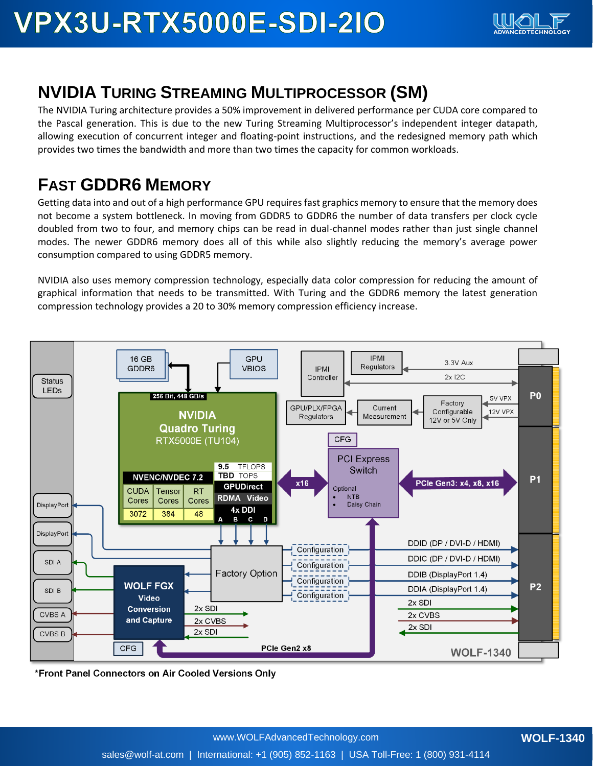# **VPX3U-RTX5000E-SDI-210**



## **NVIDIA TURING STREAMING MULTIPROCESSOR (SM)**

The NVIDIA Turing architecture provides a 50% improvement in delivered performance per CUDA core compared to the Pascal generation. This is due to the new Turing Streaming Multiprocessor's independent integer datapath, allowing execution of concurrent integer and floating-point instructions, and the redesigned memory path which provides two times the bandwidth and more than two times the capacity for common workloads.

### **FAST GDDR6 MEMORY**

Getting data into and out of a high performance GPU requires fast graphics memory to ensure that the memory does not become a system bottleneck. In moving from GDDR5 to GDDR6 the number of data transfers per clock cycle doubled from two to four, and memory chips can be read in dual-channel modes rather than just single channel modes. The newer GDDR6 memory does all of this while also slightly reducing the memory's average power consumption compared to using GDDR5 memory.

NVIDIA also uses memory compression technology, especially data color compression for reducing the amount of graphical information that needs to be transmitted. With Turing and the GDDR6 memory the latest generation compression technology provides a 20 to 30% memory compression efficiency increase.



\*Front Panel Connectors on Air Cooled Versions Only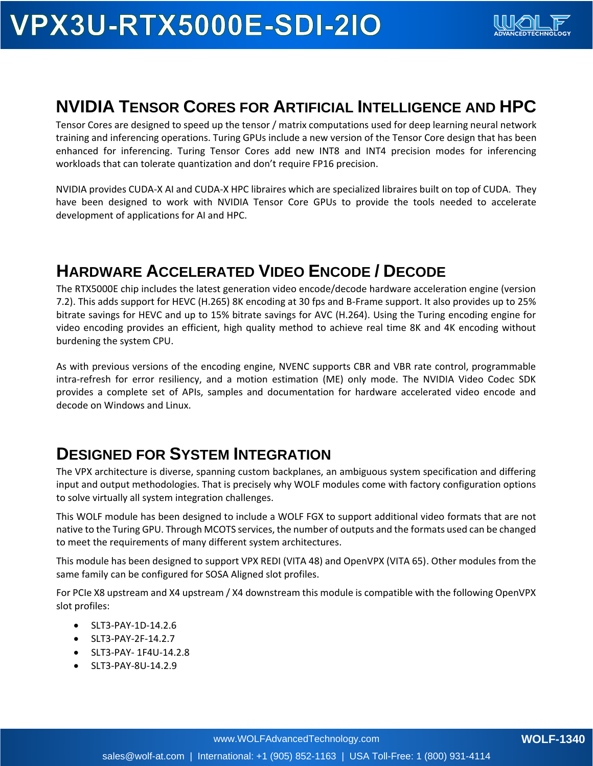# **VPX3U-RTX5000E-SDI-210**



### **NVIDIA TENSOR CORES FOR ARTIFICIAL INTELLIGENCE AND HPC**

Tensor Cores are designed to speed up the tensor / matrix computations used for deep learning neural network training and inferencing operations. Turing GPUs include a new version of the Tensor Core design that has been enhanced for inferencing. Turing Tensor Cores add new INT8 and INT4 precision modes for inferencing workloads that can tolerate quantization and don't require FP16 precision.

NVIDIA provides CUDA-X AI and CUDA-X HPC libraires which are specialized libraires built on top of CUDA. They have been designed to work with NVIDIA Tensor Core GPUs to provide the tools needed to accelerate development of applications for AI and HPC.

### **HARDWARE ACCELERATED VIDEO ENCODE / DECODE**

The RTX5000E chip includes the latest generation video encode/decode hardware acceleration engine (version 7.2). This adds support for HEVC (H.265) 8K encoding at 30 fps and B-Frame support. It also provides up to 25% bitrate savings for HEVC and up to 15% bitrate savings for AVC (H.264). Using the Turing encoding engine for video encoding provides an efficient, high quality method to achieve real time 8K and 4K encoding without burdening the system CPU.

As with previous versions of the encoding engine, NVENC supports CBR and VBR rate control, programmable intra-refresh for error resiliency, and a motion estimation (ME) only mode. The NVIDIA Video Codec SDK provides a complete set of APIs, samples and documentation for hardware accelerated video encode and decode on Windows and Linux.

#### **DESIGNED FOR SYSTEM INTEGRATION**

The VPX architecture is diverse, spanning custom backplanes, an ambiguous system specification and differing input and output methodologies. That is precisely why WOLF modules come with factory configuration options to solve virtually all system integration challenges.

This WOLF module has been designed to include a WOLF FGX to support additional video formats that are not native to the Turing GPU. Through MCOTS services, the number of outputs and the formats used can be changed to meet the requirements of many different system architectures.

This module has been designed to support VPX REDI (VITA 48) and OpenVPX (VITA 65). Other modules from the same family can be configured for SOSA Aligned slot profiles.

For PCIe X8 upstream and X4 upstream / X4 downstream this module is compatible with the following OpenVPX slot profiles:

- SLT3-PAY-1D-14.2.6
- SLT3-PAY-2F-14.2.7
- SLT3-PAY- 1F4U-14.2.8
- SLT3-PAY-8U-14.2.9